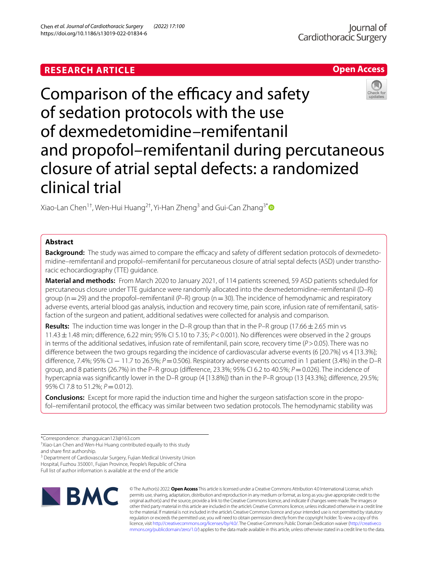# **RESEARCH ARTICLE**

https://doi.org/10.1186/s13019-022-01834-6

Chen *et al. Journal of Cardiothoracic Surgery (2022) 17:100* 

# lournal of Cardiothoracic Surgery

# **Open Access**



Xiao-Lan Chen<sup>1†</sup>, Wen-Hui Huang<sup>2†</sup>, Yi-Han Zheng<sup>3</sup> and Gui-Can Zhang<sup>3[\\*](http://orcid.org/0000-0003-1695-7555)</sup>

# **Abstract**

Background: The study was aimed to compare the efficacy and safety of different sedation protocols of dexmedetomidine–remifentanil and propofol–remifentanil for percutaneous closure of atrial septal defects (ASD) under transthoracic echocardiography (TTE) guidance.

**Material and methods:** From March 2020 to January 2021, of 114 patients screened, 59 ASD patients scheduled for percutaneous closure under TTE guidance were randomly allocated into the dexmedetomidine–remifentanil (D–R) group ( $n=29$ ) and the propofol–remifentanil (P–R) group ( $n=30$ ). The incidence of hemodynamic and respiratory adverse events, arterial blood gas analysis, induction and recovery time, pain score, infusion rate of remifentanil, satisfaction of the surgeon and patient, additional sedatives were collected for analysis and comparison.

**Results:** The induction time was longer in the D–R group than that in the P–R group (17.66±2.65 min vs 11.43±1.48 min; diference, 6.22 min; 95% CI 5.10 to 7.35; *P*<0.001). No diferences were observed in the 2 groups in terms of the additional sedatives, infusion rate of remifentanil, pain score, recovery time (*P*>0.05). There was no difference between the two groups regarding the incidence of cardiovascular adverse events (6 [20.7%] vs 4 [13.3%]; diference, 7.4%; 95% CI − 11.7 to 26.5%; *P*=0.506). Respiratory adverse events occurred in 1 patient (3.4%) in the D–R group, and 8 patients (26.7%) in the P–R group (diference, 23.3%; 95% CI 6.2 to 40.5%; *P*=0.026). The incidence of hypercapnia was significantly lower in the D–R group (4 [13.8%]) than in the P–R group (13 [43.3%]; difference, 29.5%; 95% CI 7.8 to 51.2%;  $P = 0.012$ ).

**Conclusions:** Except for more rapid the induction time and higher the surgeon satisfaction score in the propofol–remifentanil protocol, the efficacy was similar between two sedation protocols. The hemodynamic stability was

† Xiao-Lan Chen and Wen-Hui Huang contributed equally to this study and share frst authorship.

<sup>3</sup> Department of Cardiovascular Surgery, Fujian Medical University Union Hospital, Fuzhou 350001, Fujian Province, People's Republic of China Full list of author information is available at the end of the article



© The Author(s) 2022. **Open Access** This article is licensed under a Creative Commons Attribution 4.0 International License, which permits use, sharing, adaptation, distribution and reproduction in any medium or format, as long as you give appropriate credit to the original author(s) and the source, provide a link to the Creative Commons licence, and indicate if changes were made. The images or other third party material in this article are included in the article's Creative Commons licence, unless indicated otherwise in a credit line to the material. If material is not included in the article's Creative Commons licence and your intended use is not permitted by statutory regulation or exceeds the permitted use, you will need to obtain permission directly from the copyright holder. To view a copy of this licence, visit [http://creativecommons.org/licenses/by/4.0/.](http://creativecommons.org/licenses/by/4.0/) The Creative Commons Public Domain Dedication waiver ([http://creativeco](http://creativecommons.org/publicdomain/zero/1.0/) [mmons.org/publicdomain/zero/1.0/](http://creativecommons.org/publicdomain/zero/1.0/)) applies to the data made available in this article, unless otherwise stated in a credit line to the data.

<sup>\*</sup>Correspondence: zhangguican123@163.com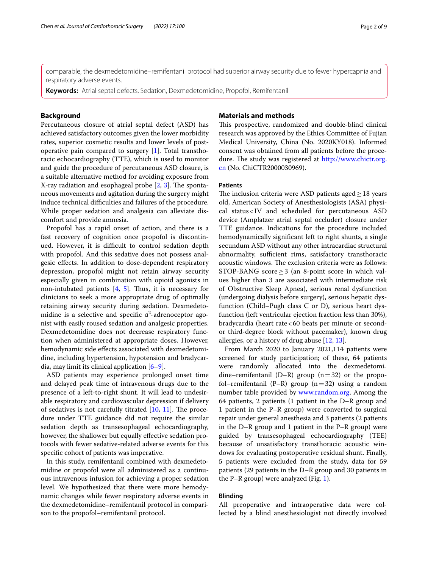comparable, the dexmedetomidine–remifentanil protocol had superior airway security due to fewer hypercapnia and respiratory adverse events.

**Keywords:** Atrial septal defects, Sedation, Dexmedetomidine, Propofol, Remifentanil

# **Background**

Percutaneous closure of atrial septal defect (ASD) has achieved satisfactory outcomes given the lower morbidity rates, superior cosmetic results and lower levels of postoperative pain compared to surgery [[1\]](#page-7-0). Total transthoracic echocardiography (TTE), which is used to monitor and guide the procedure of percutaneous ASD closure, is a suitable alternative method for avoiding exposure from X-ray radiation and esophageal probe  $[2, 3]$  $[2, 3]$  $[2, 3]$  $[2, 3]$ . The spontaneous movements and agitation during the surgery might induce technical difficulties and failures of the procedure. While proper sedation and analgesia can alleviate discomfort and provide amnesia.

Propofol has a rapid onset of action, and there is a fast recovery of cognition once propofol is discontinued. However, it is difficult to control sedation depth with propofol. And this sedative does not possess analgesic efects. In addition to dose-dependent respiratory depression, propofol might not retain airway security especially given in combination with opioid agonists in non-intubated patients  $[4, 5]$  $[4, 5]$  $[4, 5]$ . Thus, it is necessary for clinicians to seek a more appropriate drug of optimally retaining airway security during sedation. Dexmedetomidine is a selective and specific  $a^2$ -adrenoceptor agonist with easily roused sedation and analgesic properties. Dexmedetomidine does not decrease respiratory function when administered at appropriate doses. However, hemodynamic side efects associated with dexmedetomidine, including hypertension, hypotension and bradycardia, may limit its clinical application [\[6](#page-7-5)[–9](#page-7-6)].

ASD patients may experience prolonged onset time and delayed peak time of intravenous drugs due to the presence of a left-to-right shunt. It will lead to undesirable respiratory and cardiovascular depression if delivery of sedatives is not carefully titrated  $[10, 11]$  $[10, 11]$  $[10, 11]$  $[10, 11]$  $[10, 11]$ . The procedure under TTE guidance did not require the similar sedation depth as transesophageal echocardiography, however, the shallower but equally effective sedation protocols with fewer sedative-related adverse events for this specifc cohort of patients was imperative.

In this study, remifentanil combined with dexmedetomidine or propofol were all administered as a continuous intravenous infusion for achieving a proper sedation level. We hypothesized that there were more hemodynamic changes while fewer respiratory adverse events in the dexmedetomidine–remifentanil protocol in comparison to the propofol–remifentanil protocol.

## **Materials and methods**

This prospective, randomized and double-blind clinical research was approved by the Ethics Committee of Fujian Medical University, China (No. 2020KY018). Informed consent was obtained from all patients before the procedure. The study was registered at [http://www.chictr.org.](http://www.chictr.org.cn) [cn](http://www.chictr.org.cn) (No. ChiCTR2000030969).

## **Patients**

The inclusion criteria were ASD patients aged $\geq$  18 years old, American Society of Anesthesiologists (ASA) physical status<IV and scheduled for percutaneous ASD device (Amplatzer atrial septal occluder) closure under TTE guidance. Indications for the procedure included hemodynamically signifcant left to right shunts, a single secundum ASD without any other intracardiac structural abnormality, sufficient rims, satisfactory transthoracic acoustic windows. The exclusion criteria were as follows: STOP-BANG score  $\geq$  3 (an 8-point score in which values higher than 3 are associated with intermediate risk of Obstructive Sleep Apnea), serious renal dysfunction (undergoing dialysis before surgery), serious hepatic dysfunction (Child–Pugh class C or D), serious heart dysfunction (left ventricular ejection fraction less than 30%), bradycardia (heart rate<60 beats per minute or secondor third-degree block without pacemaker), known drug allergies, or a history of drug abuse [[12](#page-7-9), [13\]](#page-7-10).

From March 2020 to January 2021,114 patients were screened for study participation; of these, 64 patients were randomly allocated into the dexmedetomidine–remifentanil (D–R) group  $(n=32)$  or the propofol–remifentanil (P–R) group  $(n=32)$  using a random number table provided by [www.random.org.](http://www.random.org) Among the 64 patients, 2 patients (1 patient in the D–R group and 1 patient in the P–R group) were converted to surgical repair under general anesthesia and 3 patients (2 patients in the D–R group and 1 patient in the P–R group) were guided by transesophageal echocardiography (TEE) because of unsatisfactory transthoracic acoustic windows for evaluating postoperative residual shunt. Finally, 5 patients were excluded from the study, data for 59 patients (29 patients in the D–R group and 30 patients in the P–R group) were analyzed (Fig. [1\)](#page-2-0).

## **Blinding**

All preoperative and intraoperative data were collected by a blind anesthesiologist not directly involved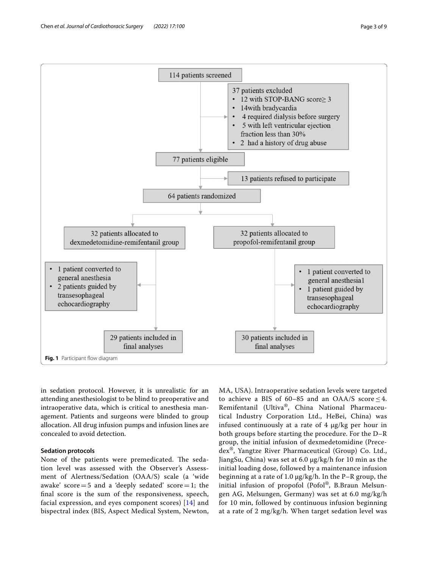

<span id="page-2-0"></span>in sedation protocol. However, it is unrealistic for an attending anesthesiologist to be blind to preoperative and intraoperative data, which is critical to anesthesia management. Patients and surgeons were blinded to group allocation. All drug infusion pumps and infusion lines are concealed to avoid detection.

# **Sedation protocols**

None of the patients were premedicated. The sedation level was assessed with the Observer's Assessment of Alertness/Sedation (OAA/S) scale (a 'wide awake' score  $=5$  and a 'deeply sedated' score  $=1$ ; the fnal score is the sum of the responsiveness, speech, facial expression, and eyes component scores) [[14\]](#page-7-11) and bispectral index (BIS, Aspect Medical System, Newton, MA, USA). Intraoperative sedation levels were targeted to achieve a BIS of 60–85 and an OAA/S score  $\leq$  4. Remifentanil (Ultiva®, China National Pharmaceutical Industry Corporation Ltd., HeBei, China) was infused continuously at a rate of 4 μg/kg per hour in both groups before starting the procedure. For the D–R group, the initial infusion of dexmedetomidine (Precedex®, Yangtze River Pharmaceutical (Group) Co. Ltd., JiangSu, China) was set at 6.0 μg/kg/h for 10 min as the initial loading dose, followed by a maintenance infusion beginning at a rate of 1.0 μg/kg/h. In the P–R group, the initial infusion of propofol (Pofol®, B.Braun Melsungen AG, Melsungen, Germany) was set at 6.0 mg/kg/h for 10 min, followed by continuous infusion beginning at a rate of 2 mg/kg/h. When target sedation level was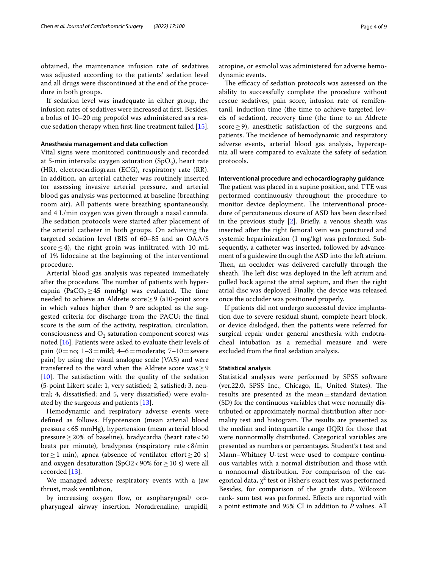obtained, the maintenance infusion rate of sedatives was adjusted according to the patients' sedation level and all drugs were discontinued at the end of the procedure in both groups.

If sedation level was inadequate in either group, the infusion rates of sedatives were increased at frst. Besides, a bolus of 10–20 mg propofol was administered as a rescue sedation therapy when frst-line treatment failed [\[15](#page-7-12)].

# **Anesthesia management and data collection**

Vital signs were monitored continuously and recorded at 5-min intervals: oxygen saturation  $(SpO<sub>2</sub>)$ , heart rate (HR), electrocardiogram (ECG), respiratory rate (RR). In addition, an arterial catheter was routinely inserted for assessing invasive arterial pressure, and arterial blood gas analysis was performed at baseline (breathing room air). All patients were breathing spontaneously, and 4 L/min oxygen was given through a nasal cannula. The sedation protocols were started after placement of the arterial catheter in both groups. On achieving the targeted sedation level (BIS of 60–85 and an OAA/S score  $\leq$  4), the right groin was infiltrated with 10 mL of 1% lidocaine at the beginning of the interventional procedure.

Arterial blood gas analysis was repeated immediately after the procedure. The number of patients with hypercapnia (PaCO<sub>2</sub> $\geq$ 45 mmHg) was evaluated. The time needed to achieve an Aldrete score≥9 (a10-point score in which values higher than 9 are adopted as the suggested criteria for discharge from the PACU; the fnal score is the sum of the activity, respiration, circulation, consciousness and  $O_2$  saturation component scores) was noted [\[16](#page-7-13)]. Patients were asked to evaluate their levels of pain  $(0=no; 1-3=mid; 4-6=moderate; 7-10=severe)$ pain) by using the visual analogue scale (VAS) and were transferred to the ward when the Aldrete score was $\geq$ 9  $[10]$  $[10]$ . The satisfaction with the quality of the sedation (5-point Likert scale: 1, very satisfed; 2, satisfed; 3, neutral; 4, dissatisfed; and 5, very dissatisfed) were evaluated by the surgeons and patients [\[13\]](#page-7-10).

Hemodynamic and respiratory adverse events were defned as follows. Hypotension (mean arterial blood pressure<65 mmHg), hypertension (mean arterial blood pressure  $≥$  20% of baseline), bradycardia (heart rate <50 beats per minute), bradypnea (respiratory rate<8/min for  $\geq$  1 min), apnea (absence of ventilator effort  $\geq$  20 s) and oxygen desaturation (SpO2<90% for  $\geq$  10 s) were all recorded [[13\]](#page-7-10).

We managed adverse respiratory events with a jaw thrust, mask ventilation,

by increasing oxygen flow, or asopharyngeal/ oropharyngeal airway insertion. Noradrenaline, urapidil, atropine, or esmolol was administered for adverse hemodynamic events.

The efficacy of sedation protocols was assessed on the ability to successfully complete the procedure without rescue sedatives, pain score, infusion rate of remifentanil, induction time (the time to achieve targeted levels of sedation), recovery time (the time to an Aldrete score > 9), anesthetic satisfaction of the surgeons and patients. The incidence of hemodynamic and respiratory adverse events, arterial blood gas analysis, hypercapnia all were compared to evaluate the safety of sedation protocols.

## **Interventional procedure and echocardiography guidance**

The patient was placed in a supine position, and TTE was performed continuously throughout the procedure to monitor device deployment. The interventional procedure of percutaneous closure of ASD has been described in the previous study  $[2]$  $[2]$ . Briefly, a venous sheath was inserted after the right femoral vein was punctured and systemic heparinization (1 mg/kg) was performed. Subsequently, a catheter was inserted, followed by advancement of a guidewire through the ASD into the left atrium. Then, an occluder was delivered carefully through the sheath. The left disc was deployed in the left atrium and pulled back against the atrial septum, and then the right atrial disc was deployed. Finally, the device was released once the occluder was positioned properly.

If patients did not undergo successful device implantation due to severe residual shunt, complete heart block, or device dislodged, then the patients were referred for surgical repair under general anesthesia with endotracheal intubation as a remedial measure and were excluded from the fnal sedation analysis.

## **Statistical analysis**

Statistical analyses were performed by SPSS software (ver.22.0, SPSS Inc., Chicago, IL, United States). The results are presented as the mean $\pm$ standard deviation (SD) for the continuous variables that were normally distributed or approximately normal distribution after normality test and histogram. The results are presented as the median and interquartile range (IQR) for those that were nonnormally distributed. Categorical variables are presented as numbers or percentages. Student's t test and Mann–Whitney U-test were used to compare continuous variables with a normal distribution and those with a nonnormal distribution. For comparison of the categorical data,  $\chi^2$  test or Fisher's exact test was performed. Besides, for comparison of the grade data, Wilcoxon rank- sum test was performed. Efects are reported with a point estimate and 95% CI in addition to *P* values. All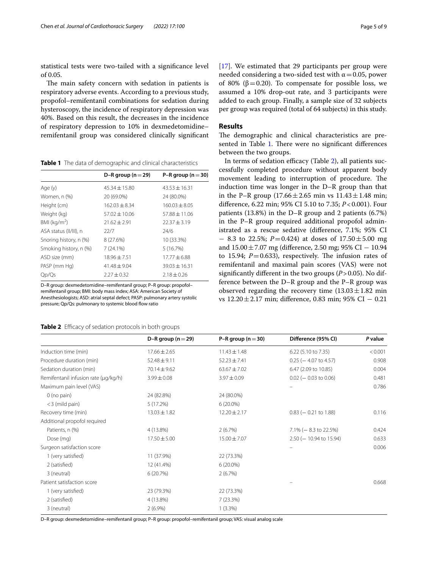statistical tests were two-tailed with a signifcance level of 0.05.

The main safety concern with sedation in patients is respiratory adverse events. According to a previous study, propofol–remifentanil combinations for sedation during hysteroscopy, the incidence of respiratory depression was 40%. Based on this result, the decreases in the incidence of respiratory depression to 10% in dexmedetomidine– remifentanil group was considered clinically signifcant

<span id="page-4-0"></span>**Table 1** The data of demographic and clinical characteristics

|                        | D-R group ( $n = 29$ ) | P-R group ( $n = 30$ ) |
|------------------------|------------------------|------------------------|
| Age (y)                | $45.34 \pm 15.80$      | $43.53 + 16.31$        |
| Women, n (%)           | 20 (69.0%)             | 24 (80.0%)             |
| Height (cm)            | $162.03 \pm 8.34$      | $160.03 \pm 8.05$      |
| Weight (kg)            | $57.02 \pm 10.06$      | $57.88 \pm 11.06$      |
| BMI ( $kg/m2$ )        | $21.62 \pm 2.91$       | $22.37 + 3.19$         |
| ASA status (II/III), n | 22/7                   | 24/6                   |
| Snoring history, n (%) | 8 (27.6%)              | 10 (33.3%)             |
| Smoking history, n (%) | 7(24.1%)               | 5(16.7%)               |
| ASD size (mm)          | $18.96 \pm 7.51$       | $17.77 + 6.88$         |
| PASP (mm Hg)           | $41.48 \pm 9.04$       | $39.03 \pm 16.31$      |
| Qp/Qs                  | $2.27 \pm 0.32$        | $2.18 \pm 0.26$        |

D–R group: dexmedetomidine–remifentanil group; P–R group: propofol– remifentanil group; BMI: body mass index; ASA: American Society of Anesthesiologists; ASD: atrial septal defect; PASP: pulmonary artery systolic pressure; Qp/Qs: pulmonary to systemic blood flow ratio

<span id="page-4-1"></span>**Table 2** Efficacy of sedation protocols in both groups

[[17\]](#page-7-14). We estimated that 29 participants per group were needed considering a two-sided test with  $\alpha$  = 0.05, power of 80% (β = 0.20). To compensate for possible loss, we assumed a 10% drop-out rate, and 3 participants were added to each group. Finally, a sample size of 32 subjects per group was required (total of 64 subjects) in this study.

# **Results**

The demographic and clinical characteristics are pre-sented in Table [1.](#page-4-0) There were no significant differences between the two groups.

In terms of sedation efficacy (Table [2\)](#page-4-1), all patients successfully completed procedure without apparent body movement leading to interruption of procedure. The induction time was longer in the D–R group than that in the P–R group  $(17.66 \pm 2.65 \text{ min} \text{ vs } 11.43 \pm 1.48 \text{ min})$ diference, 6.22 min; 95% CI 5.10 to 7.35; *P*<0.001). Four patients (13.8%) in the D–R group and 2 patients (6.7%) in the P–R group required additional propofol administrated as a rescue sedative (diference, 7.1%; 95% CI − 8.3 to 22.5%; *P*=0.424) at doses of 17.50±5.00 mg and 15.00±7.07 mg (diference, 2.50 mg; 95% CI − 10.94 to 15.94;  $P=0.633$ ), respectively. The infusion rates of remifentanil and maximal pain scores (VAS) were not signifcantly diferent in the two groups (*P*>0.05). No difference between the D–R group and the P–R group was observed regarding the recovery time  $(13.03 \pm 1.82 \text{ min})$ vs 12.20±2.17 min; diference, 0.83 min; 95% CI − 0.21

|                                      | D-R group ( $n = 29$ ) | P-R group ( $n = 30$ ) | Difference (95% CI)        | P value |
|--------------------------------------|------------------------|------------------------|----------------------------|---------|
| Induction time (min)                 | $17.66 \pm 2.65$       | $11.43 \pm 1.48$       | 6.22 (5.10 to 7.35)        | < 0.001 |
| Procedure duration (min)             | $52.48 \pm 9.11$       | $52.23 \pm 7.41$       | $0.25$ ( $-4.07$ to 4.57)  | 0.908   |
| Sedation duration (min)              | $70.14 \pm 9.62$       | $63.67 \pm 7.02$       | 6.47 (2.09 to 10.85)       | 0.004   |
| Remifentanil infusion rate (µg/kg/h) | $3.99 \pm 0.08$        | $3.97 \pm 0.09$        | $0.02$ (- 0.03 to 0.06)    | 0.481   |
| Maximum pain level (VAS)             |                        |                        |                            | 0.786   |
| $0$ (no pain)                        | 24 (82.8%)             | 24 (80.0%)             |                            |         |
| $<$ 3 (mild pain)                    | 5(17.2%)               | $6(20.0\%)$            |                            |         |
| Recovery time (min)                  | $13.03 \pm 1.82$       | $12.20 \pm 2.17$       | $0.83$ (- 0.21 to 1.88)    | 0.116   |
| Additional propofol required         |                        |                        |                            |         |
| Patients, n (%)                      | 4 (13.8%)              | 2(6.7%)                | $7.1\%$ ( $-8.3$ to 22.5%) | 0.424   |
| Dose (mg)                            | $17.50 \pm 5.00$       | $15.00 \pm 7.07$       | $2.50$ (- 10.94 to 15.94)  | 0.633   |
| Surgeon satisfaction score           |                        |                        |                            | 0.006   |
| 1 (very satisfied)                   | 11 (37.9%)             | 22 (73.3%)             |                            |         |
| 2 (satisfied)                        | 12 (41.4%)             | $6(20.0\%)$            |                            |         |
| 3 (neutral)                          | 6(20.7%)               | 2(6.7%)                |                            |         |
| Patient satisfaction score           |                        |                        |                            | 0.668   |
| 1 (very satisfied)                   | 23 (79.3%)             | 22 (73.3%)             |                            |         |
| 2 (satisfied)                        | 4 (13.8%)              | 7(23.3%)               |                            |         |
| 3 (neutral)                          | $2(6.9\%)$             | $1(3.3\%)$             |                            |         |
|                                      |                        |                        |                            |         |

D–R group: dexmedetomidine–remifentanil group; P–R group: propofol–remifentanil group; VAS: visual analog scale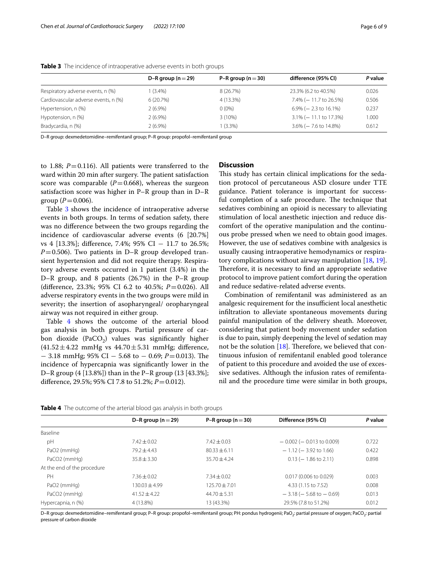|                                      | D-R group ( $n = 29$ ) | P-R group ( $n = 30$ ) | difference (95% CI)        | P value |
|--------------------------------------|------------------------|------------------------|----------------------------|---------|
| Respiratory adverse events, n (%)    | 1 (3.4%)               | 8 (26.7%)              | 23.3% (6.2 to 40.5%)       | 0.026   |
| Cardiovascular adverse events, n (%) | 6(20.7%)               | 4 (13.3%)              | 7.4% (-11.7 to 26.5%)      | 0.506   |
| Hypertension, n (%)                  | $2(6.9\%)$             | $0(0\%)$               | $6.9\%$ ( $-2.3$ to 16.1%) | 0.237   |
| Hypotension, n (%)                   | $2(6.9\%)$             | $3(10\%)$              | $3.1\%$ (- 11.1 to 17.3%)  | 1.000   |
| Bradycardia, n (%)                   | $2(6.9\%)$             | $1(3.3\%)$             | $3.6\%$ ( $-7.6$ to 14.8%) | 0.612   |

<span id="page-5-0"></span>**Table 3** The incidence of intraoperative adverse events in both groups

D–R group: dexmedetomidine–remifentanil group; P–R group: propofol–remifentanil group

to 1.88;  $P = 0.116$ ). All patients were transferred to the ward within 20 min after surgery. The patient satisfaction score was comparable  $(P=0.668)$ , whereas the surgeon satisfaction score was higher in P–R group than in D–R group  $(P = 0.006)$ .

Table [3](#page-5-0) shows the incidence of intraoperative adverse events in both groups. In terms of sedation safety, there was no diference between the two groups regarding the incidence of cardiovascular adverse events (6 [20.7%] vs 4 [13.3%]; diference, 7.4%; 95% CI − 11.7 to 26.5%;  $P=0.506$ ). Two patients in D–R group developed transient hypertension and did not require therapy. Respiratory adverse events occurred in 1 patient (3.4%) in the D–R group, and 8 patients (26.7%) in the P–R group (diference, 23.3%; 95% CI 6.2 to 40.5%; *P*=0.026). All adverse respiratory events in the two groups were mild in severity; the insertion of asopharyngeal/ oropharyngeal airway was not required in either group.

Table [4](#page-5-1) shows the outcome of the arterial blood gas analysis in both groups. Partial pressure of carbon dioxide (PaCO<sub>2</sub>) values was significantly higher  $(41.52 \pm 4.22 \text{ mmHg vs } 44.70 \pm 5.31 \text{ mmHg; difference},$ − 3.18 mmHg; 95% CI − 5.68 to − 0.69; *P*=0.013). Te incidence of hypercapnia was signifcantly lower in the D–R group (4 [13.8%]) than in the P–R group (13 [43.3%]; diference, 29.5%; 95% CI 7.8 to 51.2%; *P*=0.012).

# **Discussion**

This study has certain clinical implications for the sedation protocol of percutaneous ASD closure under TTE guidance. Patient tolerance is important for successful completion of a safe procedure. The technique that sedatives combining an opioid is necessary to alleviating stimulation of local anesthetic injection and reduce discomfort of the operative manipulation and the continuous probe pressed when we need to obtain good images. However, the use of sedatives combine with analgesics is usually causing intraoperative hemodynamics or respira-tory complications without airway manipulation [[18,](#page-7-15) [19](#page-7-16)]. Therefore, it is necessary to find an appropriate sedative protocol to improve patient comfort during the operation and reduce sedative-related adverse events.

Combination of remifentanil was administered as an analgesic requirement for the insufficient local anesthetic infltration to alleviate spontaneous movements during painful manipulation of the delivery sheath. Moreover, considering that patient body movement under sedation is due to pain, simply deepening the level of sedation may not be the solution  $[18]$  $[18]$ . Therefore, we believed that continuous infusion of remifentanil enabled good tolerance of patient to this procedure and avoided the use of excessive sedatives. Although the infusion rates of remifentanil and the procedure time were similar in both groups,

<span id="page-5-1"></span>

| Table 4 The outcome of the arterial blood gas analysis in both groups |  |
|-----------------------------------------------------------------------|--|
|-----------------------------------------------------------------------|--|

|                             | D-R group ( $n = 29$ ) | P-R group ( $n = 30$ ) | Difference (95% CI)            | P value |
|-----------------------------|------------------------|------------------------|--------------------------------|---------|
| <b>Baseline</b>             |                        |                        |                                |         |
| pH                          | $7.42 \pm 0.02$        | $7.42 \pm 0.03$        | $-0.002$ ( $-0.013$ to 0.009)  | 0.722   |
| PaO2 (mmHg)                 | $79.2 + 4.43$          | $80.33 + 6.11$         | $-1.12$ ( $-3.92$ to 1.66)     | 0.422   |
| PaCO <sub>2</sub> (mmHg)    | $35.8 \pm 3.30$        | $35.70 \pm 4.24$       | $0.13$ (- 1.86 to 2.11)        | 0.898   |
| At the end of the procedure |                        |                        |                                |         |
| PH                          | $7.36 \pm 0.02$        | $7.34 \pm 0.02$        | 0.017 (0.006 to 0.029)         | 0.003   |
| PaO2 (mmHg)                 | $130.03 + 4.99$        | $125.70 \pm 7.01$      | 4.33 (1.15 to 7.52)            | 0.008   |
| PaCO <sub>2</sub> (mmHg)    | $41.52 + 4.22$         | $44.70 \pm 5.31$       | $-3.18$ ( $-5.68$ to $-0.69$ ) | 0.013   |
| Hypercapnia, n (%)          | 4 (13.8%)              | 13 (43.3%)             | 29.5% (7.8 to 51.2%)           | 0.012   |

D-R group: dexmedetomidine–remifentanil group; P-R group: propofol–remifentanil group; PH: pondus hydrogenii; PaO<sub>2</sub>: partial pressure of oxygen; PaCO<sub>2</sub>: partial pressure of carbon dioxide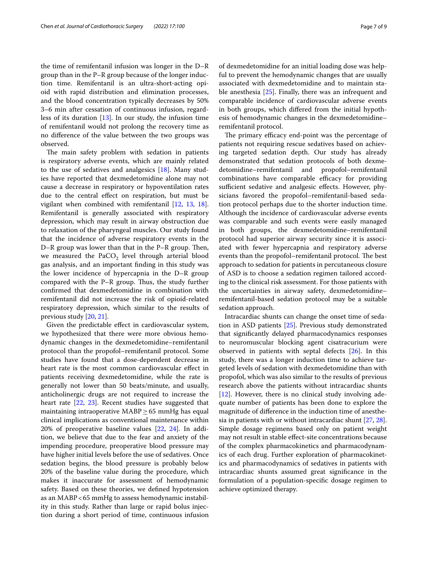the time of remifentanil infusion was longer in the D–R group than in the P–R group because of the longer induction time. Remifentanil is an ultra-short-acting opioid with rapid distribution and elimination processes, and the blood concentration typically decreases by 50% 3–6 min after cessation of continuous infusion, regardless of its duration [[13\]](#page-7-10). In our study, the infusion time of remifentanil would not prolong the recovery time as no diference of the value between the two groups was observed.

The main safety problem with sedation in patients is respiratory adverse events, which are mainly related to the use of sedatives and analgesics [[18\]](#page-7-15). Many studies have reported that dexmedetomidine alone may not cause a decrease in respiratory or hypoventilation rates due to the central efect on respiration, but must be vigilant when combined with remifentanil [[12,](#page-7-9) [13,](#page-7-10) [18](#page-7-15)]. Remifentanil is generally associated with respiratory depression, which may result in airway obstruction due to relaxation of the pharyngeal muscles. Our study found that the incidence of adverse respiratory events in the D–R group was lower than that in the  $P-R$  group. Then, we measured the PaCO<sub>2</sub> level through arterial blood gas analysis, and an important fnding in this study was the lower incidence of hypercapnia in the D–R group compared with the  $P-R$  group. Thus, the study further confrmed that dexmedetomidine in combination with remifentanil did not increase the risk of opioid-related respiratory depression, which similar to the results of previous study [[20,](#page-7-17) [21\]](#page-7-18).

Given the predictable efect in cardiovascular system, we hypothesized that there were more obvious hemodynamic changes in the dexmedetomidine–remifentanil protocol than the propofol–remifentanil protocol. Some studies have found that a dose-dependent decrease in heart rate is the most common cardiovascular efect in patients receiving dexmedetomidine, while the rate is generally not lower than 50 beats/minute, and usually, anticholinergic drugs are not required to increase the heart rate [[22,](#page-7-19) [23](#page-8-0)]. Recent studies have suggested that maintaining intraoperative MABP $\geq$  65 mmHg has equal clinical implications as conventional maintenance within 20% of preoperative baseline values [[22,](#page-7-19) [24](#page-8-1)]. In addition, we believe that due to the fear and anxiety of the impending procedure, preoperative blood pressure may have higher initial levels before the use of sedatives. Once sedation begins, the blood pressure is probably below 20% of the baseline value during the procedure, which makes it inaccurate for assessment of hemodynamic safety. Based on these theories, we defned hypotension as an MABP<65 mmHg to assess hemodynamic instability in this study. Rather than large or rapid bolus injection during a short period of time, continuous infusion of dexmedetomidine for an initial loading dose was helpful to prevent the hemodynamic changes that are usually associated with dexmedetomidine and to maintain stable anesthesia [\[25](#page-8-2)]. Finally, there was an infrequent and comparable incidence of cardiovascular adverse events in both groups, which difered from the initial hypothesis of hemodynamic changes in the dexmedetomidine– remifentanil protocol.

The primary efficacy end-point was the percentage of patients not requiring rescue sedatives based on achieving targeted sedation depth. Our study has already demonstrated that sedation protocols of both dexmedetomidine–remifentanil and propofol–remifentanil combinations have comparable efficacy for providing sufficient sedative and analgesic effects. However, physicians favored the propofol–remifentanil-based sedation protocol perhaps due to the shorter induction time. Although the incidence of cardiovascular adverse events was comparable and such events were easily managed in both groups, the dexmedetomidine–remifentanil protocol had superior airway security since it is associated with fewer hypercapnia and respiratory adverse events than the propofol–remifentanil protocol. The best approach to sedation for patients in percutaneous closure of ASD is to choose a sedation regimen tailored according to the clinical risk assessment. For those patients with the uncertainties in airway safety, dexmedetomidine– remifentanil-based sedation protocol may be a suitable sedation approach.

Intracardiac shunts can change the onset time of sedation in ASD patients [\[25](#page-8-2)]. Previous study demonstrated that signifcantly delayed pharmacodynamics responses to neuromuscular blocking agent cisatracurium were observed in patients with septal defects [[26\]](#page-8-3). In this study, there was a longer induction time to achieve targeted levels of sedation with dexmedetomidine than with propofol, which was also similar to the results of previous research above the patients without intracardiac shunts [[12\]](#page-7-9). However, there is no clinical study involving adequate number of patients has been done to explore the magnitude of diference in the induction time of anesthesia in patients with or without intracardiac shunt [[27,](#page-8-4) [28](#page-8-5)]. Simple dosage regimens based only on patient weight may not result in stable efect-site concentrations because of the complex pharmacokinetics and pharmacodynamics of each drug. Further exploration of pharmacokinetics and pharmacodynamics of sedatives in patients with intracardiac shunts assumed great signifcance in the formulation of a population-specifc dosage regimen to achieve optimized therapy.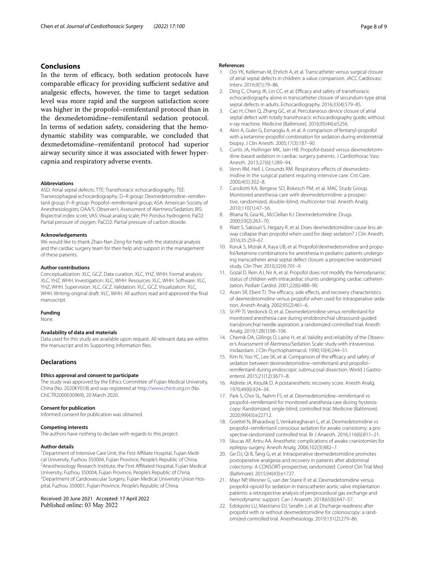## **Conclusions**

In the term of efficacy, both sedation protocols have comparable efficacy for providing sufficient sedative and analgesic efects, however, the time to target sedation level was more rapid and the surgeon satisfaction score was higher in the propofol–remifentanil protocol than in the dexmedetomidine–remifentanil sedation protocol. In terms of sedation safety, considering that the hemodynamic stability was comparable, we concluded that dexmedetomidine–remifentanil protocol had superior airway security since it was associated with fewer hypercapnia and respiratory adverse events.

#### **Abbreviations**

ASD: Atrial septal defects; TTE: Transthoracic echocardiography; TEE: Transesophageal echocardiography; D-R group: Dexmedetomidine-remifentanil group; P–R group: Propofol–remifentanil group; ASA: American Society of Anesthesiologists; OAA/S: Observer's Assessment of Alertness/Sedation; BIS: Bispectral index score; VAS: Visual analog scale; PH: Pondus hydrogenii; PaO2: Partial pressure of oxygen; PaCO2: Partial pressure of carbon dioxide.

#### **Acknowledgements**

We would like to thank Zhao-Nan Zeng for help with the statistical analysis and the cardiac surgery team for their help and support in the management of these patients.

#### **Author contributions**

Conceptualization: XLC, GCZ. Data curation: XLC, YHZ, WHH. Formal analysis: XLC, YHZ, WHH. Investigation: XLC, WHH. Resources: XLC, WHH. Software: XLC, YHZ, WHH. Supervision: XLC, GCZ. Validation: XLC, GCZ. Visualization: XLC, WHH. Writing-original draft: XLC, WHH. All authors read and approved the fnal manuscript.

# **Funding**

None.

## **Availability of data and materials**

Data used for this study are available upon request. All relevant data are within the manuscript and its Supporting Information fles.

### **Declarations**

#### **Ethics approval and consent to participate**

The study was approved by the Ethics Committee of Fujian Medical University, China (No. 2020KY018) and was registered at<http://www.chictr.org.cn>(No. ChiCTR2000030969), 20 March 2020.

### **Consent for publication**

Informed consent for publication was obtained.

#### **Competing interests**

The authors have nothing to declare with regards to this project.

### **Author details**

<sup>1</sup> Department of Intensive Care Unit, the First Affiliate Hospital, Fujian Medical University, Fuzhou 350004, Fujian Province, People's Republic of China. 2 <sup>2</sup> Anesthesiology Research Institute, the First Affiliated Hospital, Fujian Medical University, Fuzhou 350004, Fujian Province, People's Republic of China. 3 <sup>3</sup> Department of Cardiovascular Surgery, Fujian Medical University Union Hospital, Fuzhou 350001, Fujian Province, People's Republic of China.

## Received: 20 June 2021 Accepted: 17 April 2022 Published online: 03 May 2022

#### **References**

- <span id="page-7-0"></span>1. Ooi YK, Kelleman M, Ehrlich A, et al. Transcatheter versus surgical closure of atrial septal defects in children: a value comparison. JACC Cardiovasc Interv. 2016;9(1):79–86.
- <span id="page-7-1"></span>2. Ding C, Chang JK, Lin CC, et al. Efficacy and safety of transthoracic echocardiography alone in transcatheter closure of secundum-type atrial septal defects in adults. Echocardiography. 2016;33(4):579–85.
- <span id="page-7-2"></span>3. Cao H, Chen Q, Zhang GC, et al. Percutaneous device closure of atrial septal defect with totally transthoracic echocardiography guide, without x-ray machine. Medicine (Baltimore). 2016;95(44):e5256.
- <span id="page-7-3"></span>4. Akin A, Guler G, Esmaoglu A, et al. A comparison of fentanyl-propofol with a ketamine-propofol combination for sedation during endometrial biopsy. J Clin Anesth. 2005;17(3):187–90.
- <span id="page-7-4"></span>5. Curtis JA, Hollinger MK, Jain HB. Propofol-based versus dexmedetomidine-based sedation in cardiac surgery patients. J Cardiothorac Vasc Anesth. 2013;27(6):1289–94.
- <span id="page-7-5"></span>6. Venn RM, Hell J, Grounds RM. Respiratory effects of dexmedetomidine in the surgical patient requiring intensive care. Crit Care. 2000;4(5):302–8.
- 7. Candiotti KA, Bergese SD, Bokesch PM, et al. MAC Study Group. Monitored anesthesia care with dexmedetomidine: a prospec‑ tive, randomized, double-blind, multicenter trial. Anesth Analg. 2010;110(1):47–56.
- 8. Bhana N, Goa KL, McClellan KJ. Dexmedetomidine. Drugs. 2000;59(2):263–70.
- <span id="page-7-6"></span>Watt S, Sabouri S, Hegazy R, et al. Does dexmedetomidine cause less airway collapse than propofol when used for deep sedation? J Clin Anesth. 2016;35:259–67.
- <span id="page-7-7"></span>10. Koruk S, Mizrak A, Kaya UB, et al. Propofol/dexmedetomidine and propofol/ketamine combinations for anesthesia in pediatric patients undergoing transcatheter atrial septal defect closure: a prospective randomized study. Clin Ther. 2010;32(4):701–9.
- <span id="page-7-8"></span>11. Gozal D, Rein AJ, Nir A, et al. Propofol does not modify the hemodynamic status of children with intracardiac shunts undergoing cardiac catheterization. Pediatr Cardiol. 2001;22(6):488–90.
- <span id="page-7-9"></span>12. Arain SR, Ebert TJ. The efficacy, side effects, and recovery characteristics of dexmedetomidine versus propofol when used for intraoperative sedation. Anesth Analg. 2002;95(2):461–6.
- <span id="page-7-10"></span>13. St-PP TI, Verdonck O, et al. Dexmedetomidine versus remifentanil for monitored anesthesia care during endobronchial ultrasound-guided transbronchial needle aspiration: a randomized controlled trial. Anesth Analg. 2019;128(1):98–106.
- <span id="page-7-11"></span>14. Chernik DA, Gillings D, Laine H, et al. Validity and reliability of the Observer's Assessment of Alertness/Sedation Scale: study with intravenous midazolam. J Clin Psychopharmacol. 1990;10(4):244–51.
- <span id="page-7-12"></span>15. Kim N, Yoo YC, Lee SK, et al. Comparison of the efficacy and safety of sedation between dexmedetomidine–remifentanil and propofol– remifentanil during endoscopic submucosal dissection. World J Gastroenterol. 2015;21(12):3671–8.
- <span id="page-7-13"></span>16. Aldrete JA, Kroulik D. A postanesthetic recovery score. Anesth Analg. 1970;49(6):924–34.
- <span id="page-7-14"></span>17. Park S, Choi SL, Nahm FS, et al. Dexmedetomidine–remifentanil vs propofol-remifentanil for monitored anesthesia care during hysteroscopy: Randomized, single-blind, controlled trial. Medicine (Baltimore). 2020;99(43):e22712.
- <span id="page-7-15"></span>18. Goettel N, Bharadwaj S, Venkatraghavan L, et al. Dexmedetomidine vs propofol-remifentanil conscious sedation for awake craniotomy: a prospective randomized controlled trial. Br J Anaesth. 2016;116(6):811–21.
- <span id="page-7-16"></span>19. Skucas AP, Artru AA. Anesthetic complications of awake craniotomies for epilepsy surgery. Anesth Analg. 2006;102(3):882–7.
- <span id="page-7-17"></span>20. Ge DJ, Qi B, Tang G, et al. Intraoperative dexmedetomidine promotes postoperative analgesia and recovery in patients after abdominal colectomy: A CONSORT-prospective, randomized. Control Clin Trial Med (Baltimore). 2015;94(43):e1727.
- <span id="page-7-18"></span>21. Mayr NP, Wiesner G, van der Starre P, et al. Dexmedetomidine versus propofol-opioid for sedation in transcatheter aortic valve implantation patients: a retrospective analysis of periprocedural gas exchange and hemodynamic support. Can J Anaesth. 2018;65(6):647–57.
- <span id="page-7-19"></span>22. Edokpolo LU, Mastriano DJ, Serafn J, et al. Discharge readiness after propofol with or without dexmedetomidine for colonoscopy: a randomized controlled trial. Anesthesiology. 2019;131(2):279–86.